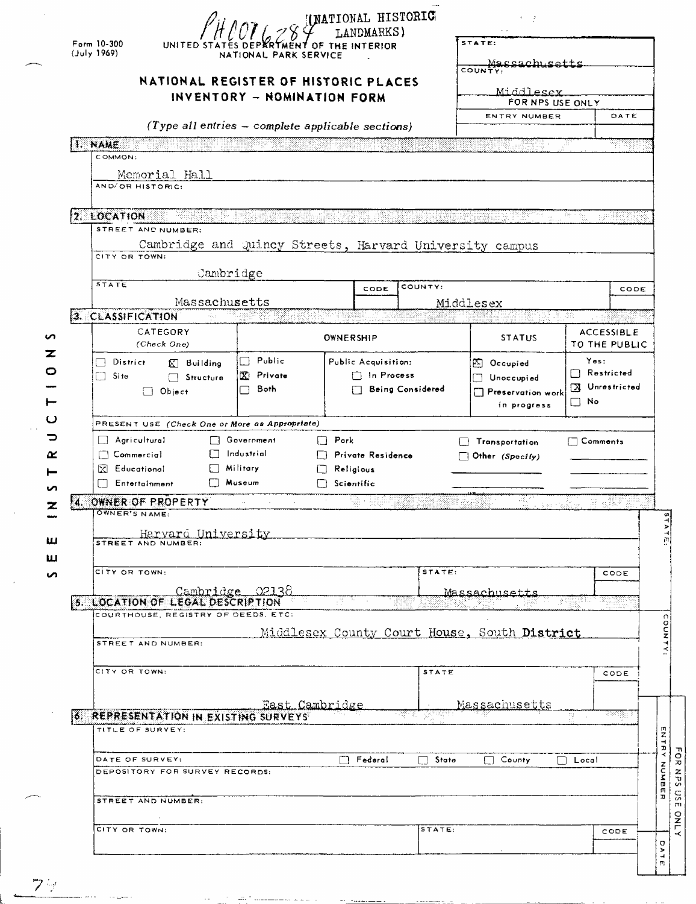| Form 10-300<br>(July 1969)<br>I. NAME          | UNITED STATES DEPARTMENT OF THE INTERIOR<br>NATIONAL PARK SERVICE<br>NATIONAL REGISTER OF HISTORIC PLACES<br>INVENTORY - NOMINATION FORM<br>(Type all entries - complete applicable sections) | (NATIONAL HISTORIC<br>LANDMARKS)      |                    | STATE:<br>Massach setts<br>COUNTY.<br>Middlesex<br>FOR NPS USE ONLY<br>ENTRY NUMBER | æ                 | DATE<br>딱딱        |
|------------------------------------------------|-----------------------------------------------------------------------------------------------------------------------------------------------------------------------------------------------|---------------------------------------|--------------------|-------------------------------------------------------------------------------------|-------------------|-------------------|
| COMMON:                                        |                                                                                                                                                                                               |                                       |                    |                                                                                     |                   |                   |
| Memorial Hall<br>AND/OR HISTORIC:              |                                                                                                                                                                                               |                                       |                    |                                                                                     |                   |                   |
| 2. LOCATION                                    |                                                                                                                                                                                               |                                       |                    |                                                                                     | . 역사함             |                   |
| STREET AND NUMBER:                             |                                                                                                                                                                                               |                                       | <u>programment</u> |                                                                                     |                   | ter rödder        |
|                                                | Cambridge and Quincy Streets, Harvard University campus                                                                                                                                       |                                       |                    |                                                                                     |                   |                   |
| CITY OR TOWN:<br>Cambridge                     |                                                                                                                                                                                               |                                       |                    |                                                                                     |                   |                   |
| <b>STATE</b>                                   |                                                                                                                                                                                               | CODE                                  | COUNTY:            |                                                                                     |                   | CODE              |
| Massachusetts                                  |                                                                                                                                                                                               |                                       |                    | Middlesex                                                                           |                   |                   |
| 3. CLASSIFICATION                              |                                                                                                                                                                                               |                                       |                    |                                                                                     |                   |                   |
| CATEGORY<br>(Check One)                        |                                                                                                                                                                                               | <b>OWNERSHIP</b>                      |                    | <b>STATUS</b>                                                                       | TO THE PUBLIC     | <b>ACCESSIBLE</b> |
| $\Box$ District<br>$\mathbb{K}$ Building       | $\Box$ Public                                                                                                                                                                                 | Public Acquisition:                   |                    | $\boxtimes$ Occupied                                                                | Yes:              |                   |
| ⊡ Site<br>$\Box$ Structure                     | X Private                                                                                                                                                                                     | $\Box$ In Process                     |                    | Unoccupied                                                                          | $\Box$ Restricted |                   |
| $\Box$ Object                                  | Both                                                                                                                                                                                          |                                       | Being Considered   | Preservation work                                                                   | X Unrestricted    |                   |
|                                                |                                                                                                                                                                                               |                                       |                    | in progress                                                                         | $\Box$ No         |                   |
| PRESENT USE (Check One or More as Appropriate) |                                                                                                                                                                                               |                                       |                    |                                                                                     |                   |                   |
| $\Box$ Agricultural                            | <b>Government</b><br>$\Box$ Pork                                                                                                                                                              |                                       |                    | Transportation                                                                      | $\Box$ Comments   |                   |
| $\Box$ Commercial<br>$\mathbb{R}$ Educational  | Industrial<br>Military                                                                                                                                                                        | Private Residence<br>$\Box$ Religious |                    | $\Box$ Other (Specify)                                                              |                   |                   |
| <b>Entertainment</b>                           | ∏ Museum                                                                                                                                                                                      | $\Box$ Scientific                     |                    |                                                                                     |                   |                   |
| 4. OWNER OF PROPERTY                           |                                                                                                                                                                                               |                                       |                    | 5 ACC 7                                                                             |                   |                   |
| OWNER'S NAME:                                  |                                                                                                                                                                                               |                                       |                    |                                                                                     |                   |                   |
| <u>Harvard University</u>                      |                                                                                                                                                                                               |                                       |                    |                                                                                     |                   |                   |
| STREET AND NUMBER:                             |                                                                                                                                                                                               |                                       |                    |                                                                                     |                   |                   |
| CITY OR TOWN:                                  |                                                                                                                                                                                               |                                       | STATE:             |                                                                                     |                   | CODE              |
| Cambridge 02138                                |                                                                                                                                                                                               |                                       |                    | <u> Massachusetts</u>                                                               |                   |                   |
| <b>5. LOCATION OF LEGAL DESCRIPTION</b>        |                                                                                                                                                                                               |                                       |                    |                                                                                     | 39                |                   |
| COURTHOUSE, REGISTRY OF DEEDS, ETC:            |                                                                                                                                                                                               |                                       |                    |                                                                                     |                   |                   |
| STREET AND NUMBER:                             |                                                                                                                                                                                               |                                       |                    | Middlesex County Court House, South District                                        |                   |                   |
|                                                |                                                                                                                                                                                               |                                       |                    |                                                                                     |                   |                   |
| CITY OR TOWN:                                  |                                                                                                                                                                                               |                                       | STATE              |                                                                                     |                   | CODE              |
|                                                |                                                                                                                                                                                               |                                       |                    |                                                                                     |                   |                   |
| 6. REPRESENTATION IN EXISTING SURVEYS          | East Cambridge                                                                                                                                                                                |                                       |                    | Massachusetts                                                                       | 정도 시              | कलक्षा            |
| TITLE OF SURVEY:                               |                                                                                                                                                                                               |                                       |                    |                                                                                     |                   |                   |
|                                                |                                                                                                                                                                                               |                                       |                    |                                                                                     |                   |                   |
| DATE OF SURVEY:                                |                                                                                                                                                                                               | $\Box$ Federal                        | □ State            | $\Box$ County                                                                       | $\Box$ Local      |                   |
| DEPOSITORY FOR SURVEY RECORDS:                 |                                                                                                                                                                                               |                                       |                    |                                                                                     |                   |                   |
| STREET AND NUMBER:                             |                                                                                                                                                                                               |                                       |                    |                                                                                     |                   |                   |
|                                                |                                                                                                                                                                                               |                                       |                    |                                                                                     |                   |                   |
| CITY OR TOWN:                                  |                                                                                                                                                                                               |                                       | STATE:             |                                                                                     |                   | CODE              |
|                                                |                                                                                                                                                                                               |                                       |                    |                                                                                     |                   |                   |
|                                                |                                                                                                                                                                                               |                                       |                    |                                                                                     |                   |                   |

| ٠ |  |
|---|--|
|   |  |
|   |  |
|   |  |

 $\sim$  .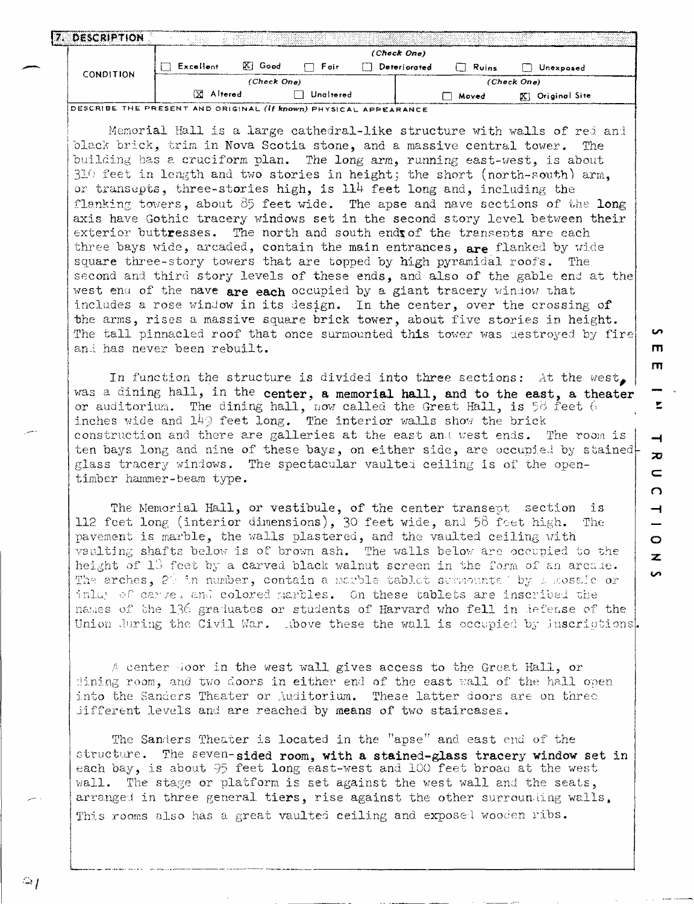|                  | <b>DESCRIPTION</b>                                                      | -8452      |             |              |             |           |                  |  |
|------------------|-------------------------------------------------------------------------|------------|-------------|--------------|-------------|-----------|------------------|--|
| <b>CONDITION</b> |                                                                         |            |             |              | (Check One) |           |                  |  |
|                  | Excellent                                                               | $ X $ Good | - Fair      | Deteriorated | Ruins       | Unexposed |                  |  |
|                  |                                                                         |            | (Check One) |              |             |           | (Check One)      |  |
|                  |                                                                         | X Altered  |             | Unaltered    |             | Moved     | XI Original Site |  |
|                  | DESCRIBE THE PRESENT AND ORIGINAL <i>(if known)</i> PHYSICAL APPEARANCE |            |             |              |             |           |                  |  |

Memorial Hall is a large cathedral-like structure with walls of red and blacX brick, trim in Nova Scotia stone, and a massive central tower. The building has a cruciform plan. The long arm, running east-west, is about  $310$  feet in length and two stories in height; the short (north-south) arm, or transepts, three-stories high, is  $114$  feet long and, including the flanking towers, about  $85$  feet wide. The apse and nave sections of the long axis have Gothic tracery windows set in the second story level between their exterior buttresses. The north and south ends of the transents are each three bays wide, arcaded, contain the main entrances, are flanked by wide square three-story towers that are topped by high pyramidal roofs. The second and third story levels of these ends, and also of the gable end at the west en $a$  of the nave are each occupied by a giant tracery window that includes a rose window in its design. In the center, over the crossing of the arms, rises a massive square brick tower, about five stories in height. The tall pinnacled roof that once surmounted this tower was destroyed by fire and has never been rebuilt. The matrix of the set of the matrix of the matrix of the matrix of the matrix of the matrix of the matrix of the matrix of the matrix of the matrix of the matrix of the matrix of the matrix of t

In function the structure is divided into three sections: At the west. was a dining hall, in the center, a memorial hall, and to the east, a theater or auditorium. The dining hall, now called the Great Hall, is 58 feet 6 inches wide and  $149$  feet long. The interior walls show the brick construction and there are galleries at the east and west ends. The room is ten bays long and nine of these bays, on either side, are occupied by stained glass tracery windows. The spectacular vaulted ceiling is of the opentimber hammer -beam type.

m

E.

 $\rightarrow$  $\overline{D}$  $\blacksquare$ 

 $\Omega$ 

 $\overline{\phantom{0}}$ 

o 2:

 $\bullet$ 

The Memorial Hall, or vestibule, of the center transept section is 112 feet long (interior dimensions), 30 feet wide, and 56 feet high. The pavement is marble, the walls plastered, and the vaulted ceiling with vaulting shafts below is of brown ash. The walls below are occupied to the height of  $13$  feet by a carved black walnut screen in the form of an arcule. The arches, 2<sup>2</sup>: in number, contain a marble tablet surmounte ' by *+* sosale or inluy of carre, and colored marbles. On these tablets are inscribed the names of the 136 graduates or students of Harvard who fell in defense of the Union during the Civil War. Above these the wall is occupied by inscriptions.

A center door in the west wall gives access to the Great Hall, or dining room, and two doors in either end of the east wall of the hall open into the Sanders Theater or Auditorium. These latter doors are on three different levels and are reached by means of two staircases.

The Sanders Theater is located in the "apse" and east end of the structure. The seven-sided room, with a stained-glass tracery window set in each bay, is about 95 feet long east-west and 100 feet broad at the west wall. The stage or platform is set against the west wall and the seats, arranged in three general tiers, rise against the other surrounding walls. This rooms also has a great vaulted ceiling and exposel wooden ribs.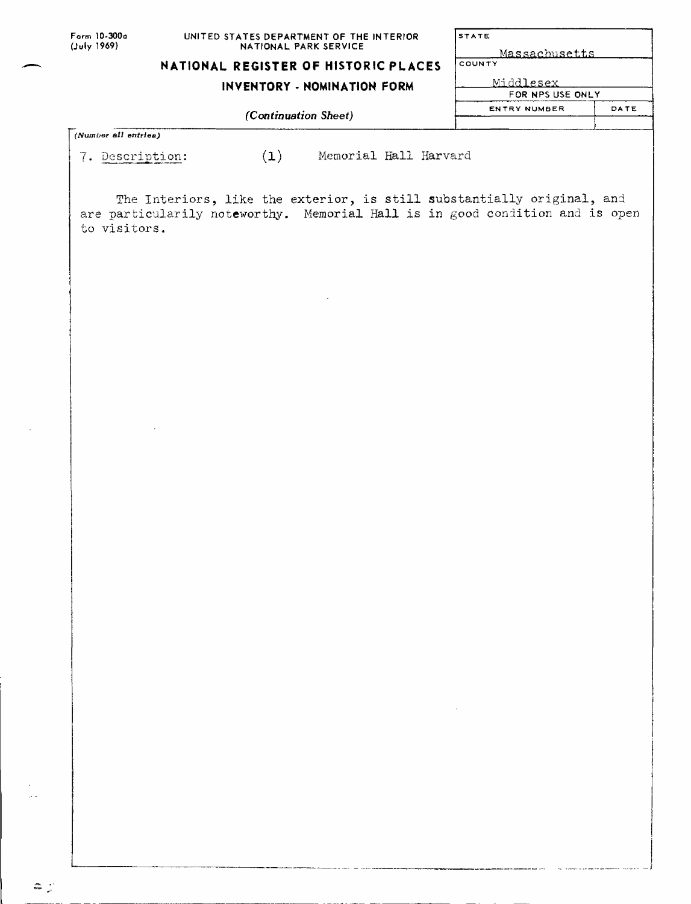| Form 10-300a |
|--------------|
| (July 1969)  |

#### **UNITED STATES DEPARTMENT OF THE INTERIOR NATIONAL PARK SERVICE**

### **NATIONAL REGISTER OF HISTORIC PLACES**

## **INVENTORY - NOMINATION FORM**

*(Continuation Sheet)*

| <b>STATE</b>     |      |  |  |  |
|------------------|------|--|--|--|
| Massachusetts    |      |  |  |  |
| COUNTY           |      |  |  |  |
| Middlesex        |      |  |  |  |
| FOR NPS USE ONLY |      |  |  |  |
| ENTRY NUMBER     | DATE |  |  |  |
|                  |      |  |  |  |

*(Number all entries)*

 $\mathbb{Z}$  .

7. Description: (1) Memorial Hall Harvard

The Interiors, like the exterior, is still substantially original, and are particularily noteworthy. Memorial Hall is in good condition and is open to visitors.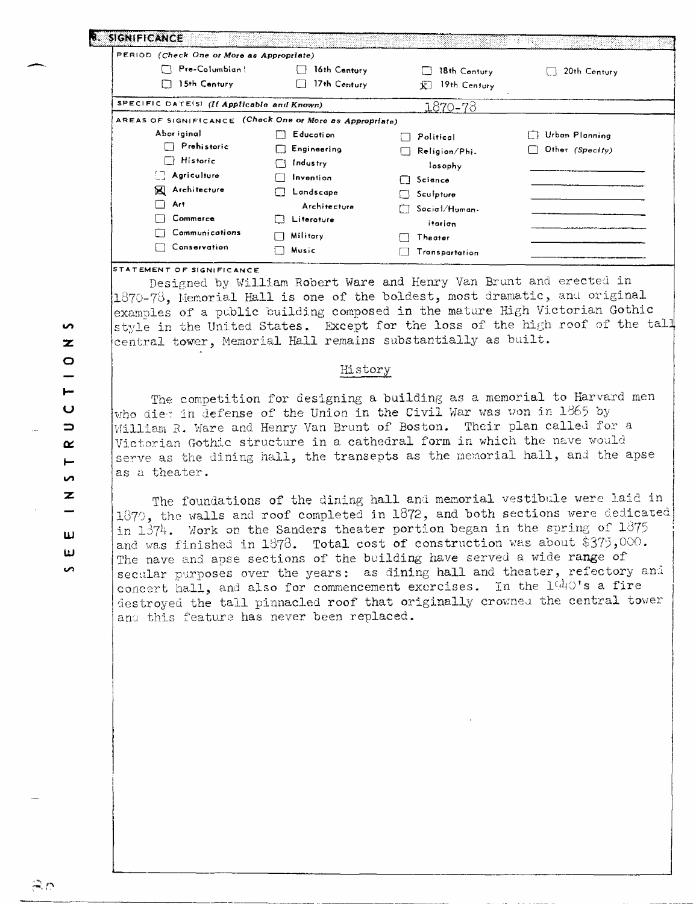| PERIOD (Check One or More as Appropriate)                |                                                                |                                      |                 |
|----------------------------------------------------------|----------------------------------------------------------------|--------------------------------------|-----------------|
| Pre-Columbian!                                           | 16th Century<br>$\left\{ \begin{array}{c} \end{array} \right.$ | 18th Century                         | 20th Century    |
| 15th Century                                             | 17th Century<br>Ιİ                                             | 19th Century<br>jζ                   |                 |
| SPECIFIC DATE(5) (If Applicable and Known)               |                                                                | 1870-78                              |                 |
| AREAS OF SIGNIFICANCE (Check One or More as Appropriate) |                                                                |                                      |                 |
| Abor iginal                                              | Education                                                      | Political                            | Urban Planning  |
| $\Box$ Prehistoric                                       | Engineering                                                    | Religion/Phi<br>$\mathbf{1}$         | Other (Specity) |
| $\Box$ Historic                                          | Industry                                                       | losophy                              |                 |
| $\Box$ Agriculture                                       | Invention                                                      | $\Box$ Science                       |                 |
| <b>X</b> Architecture                                    | Landscape                                                      | Sculpture                            |                 |
| Art<br>n                                                 | Architecture                                                   | Soci <sub>0</sub> /H <sub>uman</sub> |                 |
| Commerce                                                 | Literature                                                     | itarian                              |                 |
| Communications                                           | Military                                                       | Theater                              |                 |
| Conservation                                             | Music                                                          | Transpartation                       |                 |

#### **STATEMENT OF SIGNIFICANCE**

Designed by William Robert Ware and Henry Van Brunt and erected in  $1370-78$ , Memorial Hall is one of the boldest, most dramatic, and original examples of a public building composed in the mature High Victorian Gothic style in the United States. Except for the loss of the high roof of the tall central tower. Memorial Hall remains substantially as built.

#### History

The competition for designing a building as a memorial to Harvard men who diet in defense of the Union in the Civil War was won in 1865 by William R. Ware and Henry Van Brunt of Boston. Their plan called for a Victorian Gothic structure in a cathedral form in which the nave would serve as the dining hall, the transepts as the memorial hall, and the apse as a theater.

The foundations of the dining hall and memorial vestibule were laid in 1870, the walls and roof completed in 1872, and both sections were dedicated in  $1\overline{37}4$ . Work on the Sanders theater portion began in the spring of  $1875$ and was finished in 1878. Total cost of construction was about \$375,000. The nave and apse sections of the building have served a wide range of secular purposes over the years: as dining hall and theater, refectory and concert hall, and also for commencement exercises. In the 1440's a fire destroyed the tall pinnacled roof that originally crownea the central tower anu this feature has never been replaced.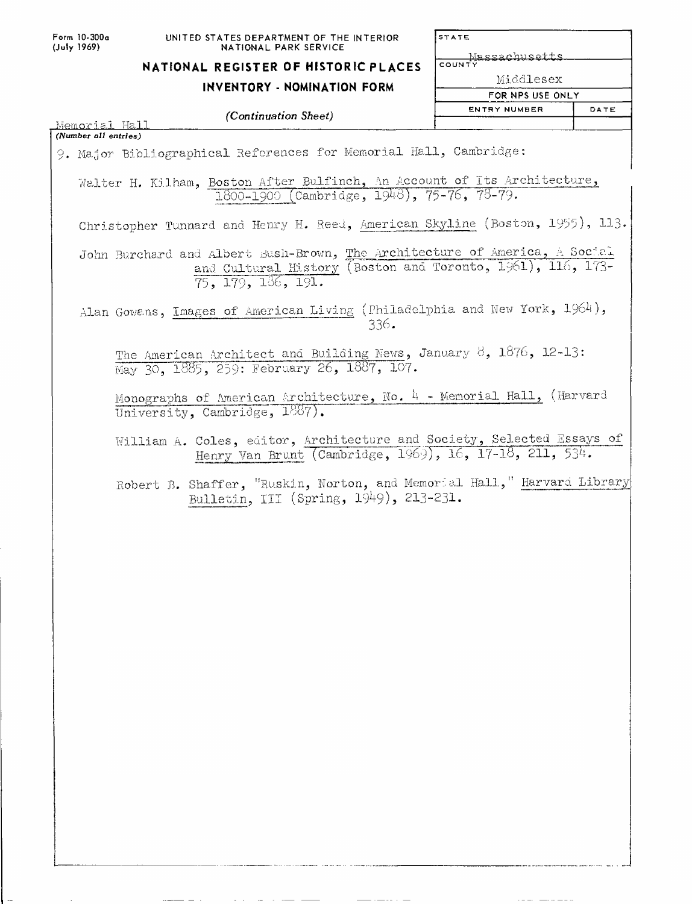| Form 10-300a |
|--------------|
| (July 1969)  |

STATE

**COUNTY**<br>COUNTY

# **NATIONAL REGISTER OF HISTORIC PLACES**

## **INVENTORY - NOMINATION FORM**

Middlesex

**FOR NPS USE ONLY**

| (Continuation Sheet)                                                                                                                                           | <b>ENTRY NUMBER</b> | DATE |
|----------------------------------------------------------------------------------------------------------------------------------------------------------------|---------------------|------|
| Memorial Hall                                                                                                                                                  |                     |      |
| (Number all entries)<br>9. Major Bibliographical References for Memorial Hall, Cambridge:                                                                      |                     |      |
|                                                                                                                                                                |                     |      |
| Walter H. Kilham, Boston After Bulfinch, An Account of Its Architecture,<br>1800-1900 (Cambridge, 1948), 75-76, 78-79.                                         |                     |      |
| Christopher Tunnard and Henry H. Reed, American Skyline (Boston, 1955), 113.                                                                                   |                     |      |
| John Burchard and Albert Sush-Brown, The Architecture of America, A Social<br>and Cultural History (Boston and Toronto, 1961), 116, 173-<br>75, 179, 136, 191. |                     |      |
| Alan Gowans, Images of American Living (Philadelphia and New York, 1964),<br>336.                                                                              |                     |      |
| The American Architect and Building News, January 8, 1876, 12-13:<br>May 30, 1885, 259: February 26, 1887, 107.                                                |                     |      |
| Monographs of American Architecture, No. $4$ - Memorial Hall, (Harvard<br>University, Cambridge, 1887).                                                        |                     |      |
| William A. Coles, editor, Architecture and Society, Selected Essays of<br>Henry Van Brunt (Cambridge, 1969), 16, 17-18, 211, 534.                              |                     |      |
| Robert B. Shaffer, "Ruskin, Norton, and Memorial Hall," Harvard Library<br>Bulletin, III (Spring, 1949), 213-231.                                              |                     |      |
|                                                                                                                                                                |                     |      |

 $\frac{1}{1-\alpha} \frac{1}{1-\alpha} \frac{1}{1-\alpha} \frac{1}{1-\alpha} \frac{1}{1-\alpha} \frac{1}{1-\alpha} \frac{1}{1-\alpha} \frac{1}{1-\alpha} \frac{1}{1-\alpha} \frac{1}{1-\alpha} \frac{1}{1-\alpha} \frac{1}{1-\alpha} \frac{1}{1-\alpha} \frac{1}{1-\alpha} \frac{1}{1-\alpha} \frac{1}{1-\alpha} \frac{1}{1-\alpha} \frac{1}{1-\alpha} \frac{1}{1-\alpha} \frac{1}{1-\alpha} \frac{1}{1-\alpha} \frac{1}{1-\alpha} \frac{1}{1-\alpha} \frac{1}{1-\alpha} \frac{1$